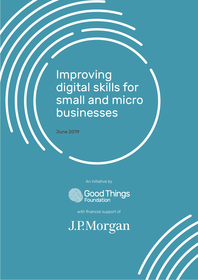# **Improving** digital skills for small and micro businesses

Improving digital skills for small and micro businesses 1

June 2019

An initiative by



with financial support of

J.P.Morgan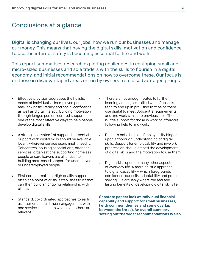# Conclusions at a glance

Digital is changing our lives, our jobs, how we run our businesses and manage our money. This means that having the digital skills, motivation and confidence to use the internet safely is becoming essential for life and work.

This report summarises research exploring challenges to equipping small and micro-sized businesses and sole traders with the skills to flourish in a digital economy, and initial recommendations on how to overcome these. Our focus is on those in disadvantaged areas or run by owners from disadvantaged groups.

- Effective provision addresses the holistic needs of individuals. Unemployed people may lack basic literacy and social confidence as well as digital literacy. Building motivation through longer, person-centred support is one of the most effective ways to help people develop digital skills.
- A strong 'ecosystem' of support is essential. Support with digital skills should be available locally wherever service users might need it. Jobcentres, housing associations, offender services, organisations supporting homeless people or care leavers are all critical to building area-based support for unemployed or underemployed people.
- First contact matters. High quality support, often at a point of crisis, establishes trust that can then build an ongoing relationship with clients.
- Standard, co-ordinated approaches to early assessment should mean engagement with one service leads on to whichever others are relevant.
- There are not enough routes to further learning and higher-skilled work. Jobseekers tend to end up in provision that helps them use digital to meet Jobcentre requirements and find work similar to previous jobs. There is little support for those in work or 'aftercare' following help to find work.
- Digital is not a bolt-on. Employability hinges upon a thorough understanding of digital skills. Support for employability and in-work progression should embed the development of digital skills and the motivation to use them.
- Digital skills open up many other aspects of everyday life. A more holistic approach to digital capability – which foregrounds confidence, curiosity, adaptability and problem solving – is arguably where the real and lasting benefits of developing digital skills lie.

Separate papers look at individual financial capability and support for small businesses, (with common themes and some overlap between the three). An overall summary setting out the wider recommendations is also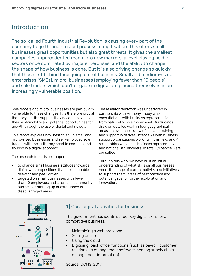# Introduction

The so-called Fourth Industrial Revolution is causing every part of the economy to go through a rapid process of digitisation. This offers small businesses great opportunities but also great threats. It gives the smallest companies unprecedented reach into new markets, a level playing field in sectors once dominated by major enterprises, and the ability to change the shape of how business is done. But it is also driving change so quickly that those left behind face going out of business. Small and medium-sized enterprises (SMEs), micro-businesses (employing fewer than 10 people) and sole traders which don't engage in digital are placing themselves in an increasingly vulnerable position.

Sole traders and micro-businesses are particularly vulnerable to these changes. It is therefore crucial that they get the support they need to maximise their sustainability and potential opportunities for growth through the use of digital technology.

This report explores how best to equip small and micro-sized businesses and self-employed sole traders with the skills they need to compete and flourish in a digital economy.

The research focus is on support:

- to change small business attitudes towards digital with propositions that are actionable, relevant and peer-driven
- targeted on small businesses with fewer than 10 employees and small and community businesses starting up or established in disadvantaged areas.

The research fieldwork was undertaken in partnership with Anthony Impey who led consultations with business representatives from national to sole trader level. Our findings draw on detailed work in four geographical areas, an evidence review of relevant training and support initiatives, interviews with business support organizations working in this field, and 4 roundtables with small business representatives and national stakeholders. In total, 51 people were consulted.

Through this work we have built an initial understanding of what skills small businesses need, the range of current activity and initiatives to support them, areas of best practice and potential gaps for further exploration and innovation.



# 1 | Core digital activities for business

The government has identified four key digital skills for a competitive business.

- Maintaining a web presence
- Selling online
- Using the cloud
- Digitising 'back office' functions (such as payroll, customer relationship management software, sharing supply chain management information).

Source: DCMS, 2017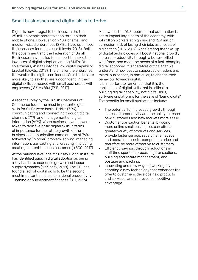#### Small businesses need digital skills to thrive

Digital is now integral to business. In the UK, 25 million people prefer to shop through their mobile phone. However, only 18% of small and medium-sized enterprises (SMEs) have optimised their services for mobile use (Lloyds, 2018). Both the government and the Federation of Small Businesses have called for support to tackle the low rates of digital adoption among SMEs. Of sole traders, 41% fall into the low digital capability bracket (Lloyds, 2018). The smaller the enterprise, the weaker the digital confidence. Sole traders are more likely to say they are 'unconfident' in their digital skills compared with small businesses with employees (18% vs 8%) (FSB, 2017).

A recent survey by the British Chambers of Commerce found the most important digital skills for SMEs were basic IT skills (72%), communicating and connecting through digital channels (71%) and management of digital information (69%). When business owners were asked to rank five basic digital skills in terms of importance for the future growth of their business, communication came out top at 76%, followed by (in order) problem-solving, managing information, transacting and 'creating' (including creating content to reach customers) (BCC, 2017).

At the national level, the McKinsey Global Institute has identified gaps in digital adoption as being a key barrier to economic growth and labour supply dynamics (McKinsey, 2018). The CBI has found a lack of digital skills to be the second most important obstacle to national productivity – behind only investment finances (CBI, 2016).

Meanwhile, the ONS reported that automation is set to impact large parts of the economy, with 7.4 million workers at high risk and 12.9 million at medium risk of losing their jobs as a result of digitisation (ONS, 2019). Accelerating the take-up of digital technologies will boost national growth, increase productivity through a better-skilled workforce, and meet the needs of a fast-changing digital economy. It is therefore critical that we understand how best to support sole traders and micro-businesses, in particular, to change their behaviour towards digital. It is important to remember that it is the

application of digital skills that is critical to building digital capability, not digital skills, software or platforms for the sake of 'being digital'. The benefits for small businesses include:

- The potential for increased growth: through increased productivity and the ability to reach new customers and new markets more easily.
- Customer transaction benefits: by doing more online small businesses can offer a greater variety of products and services, provide faster service, save on shelf space and operational costs, compete on price and therefore be more attractive to customers.
- Efficiency savings: through reductions in staff time spent on processing transactions, building and estate management, and postage and packing.
- Innovating and new ways of working: by adopting a new technology that enhances the offer to customers, develops new products and services, and improves competitive advantage.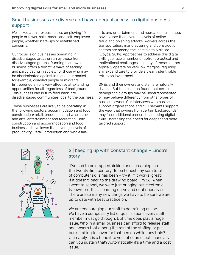# Small businesses are diverse and have unequal access to digital business support

We looked at micro-businesses employing 10 people or fewer, sole traders and self-employed people, whether start-ups or established concerns.

Our focus is on businesses operating in disadvantaged areas or run by those from disadvantaged groups. Running their own business offers alternative ways of earning and participating in society for those who may be discriminated against in the labour market, for example, disabled people or migrants. Entrepreneurship is very effective at extending opportunities for all, regardless of background. This success can in turn feed back into disadvantaged communities local to the business.

These businesses are likely to be operating in the following sectors: accommodation and food; construction; retail, production and wholesale; and arts, entertainment and recreation. Both construction and accommodation and food businesses have lower than average levels of productivity. Retail, production and wholesale,

arts and entertainment and recreation businesses have higher than average levels of online fraud and phishing attacks. Workers across the transportation, manufacturing and construction sectors are among the least digitally skilled (Lloyds, 2019). Approaches to address this digital skills gap face a number of upfront practical and motivational challenges as many of these sectors typically operate on very low margins, requiring any expenditure to provide a clearly identifiable return on investment.

SMEs and their owners and staff are naturally diverse. But the research found that certain demographic groups may be underrepresented or may behave differently from other types of business owner. Our interviews with business support organisations and civil servants support the view that owners from certain backgrounds may face additional barriers to adopting digital skills, increasing their need for deeper and more tailored support.



# 2 | Keeping up with constant change – Linda's story

"I've had to be dragged kicking and screaming into the twenty-first century. To be honest, my sum total of computer skills has been – try it, if it works, great! If it doesn't, back to the drawing board. I'm 56. When I went to school, we were just bringing out electronic typewriters. It is a learning curve and continuously so. There are so many new things we have to be sure we are up to date with best practice on.

We are encouraging our staff to do training online. We have a compulsory list of qualifications every staff member must go through. But time does play a huge issue. Who in a small business can afford to release staff and absorb that among the rest of the staffing or get bank staffing to cover for that person while they train? Ultimately, it is a benefit to you, of course, but financially can you sustain that? Automatically it's a time and a cost issue."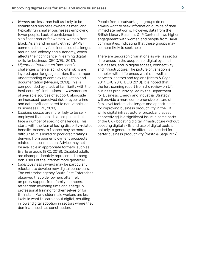- *Women* are less than half as likely to be established business owners as men, and typically run smaller businesses employing fewer people. Lack of confidence is a significant barrier for women. Women from Black, Asian and minority ethnic (BAME) communities may face increased challenges around self-efficacy and autonomy, which affects their confidence in learning digital skills for business (OECD/EU, 2017).
- *Migrant entrepreneurs* face specific challenges when a lack of digital skills are layered upon language barriers that hamper understanding of complex regulation and documentation (Mwaura, 2018). This is compounded by a lack of familiarity with the host country's institutions, low awareness of available sources of support, alongside an increased perceived risk of cyber crime and data theft compared to non-ethnic led businesses (ERC, 2018).
- *Disabled people* are more likely to be selfemployed than non-disabled people but face a number of specific challenges. This starts with the fear of losing disability-related benefits. Access to finance may be more difficult as it is linked to poor credit ratings deriving from poor employment prospects related to discrimination. Advice may not be available in appropriate formats, such as Braille or audio (ERC, 2018). Disabled adults are disproportionately represented among non-users of the internet more generally.
- *Older business owners* may be particularly reluctant to develop new digital behaviours. The enterprise agency South East Enterprises observed that older owners often rely on proxy support from family members, rather than investing time and energy in professional training for themselves or for their staff. Many older male workers are less likely to want to learn about digital, resulting in lower digital adoption in sectors where they dominate, such as construction.

People from disadvantaged groups do not always want to seek information outside of their immediate networks. However, data from the British Library Business & IP Center shows higher engagement with women and people from BAME communities, indicating that these groups may be more likely to seek help.

There are geographic variations as well as sector differences in the adoption of digital by small businesses, and in digital access, connectivity and infrastructure. The picture of variation is complex with differences within, as well as between, sectors and regions (Nesta & Sage 2017, ERC 2018, BEIS 2018). It is hoped that the forthcoming report from the review on UK business productivity, led by the Department for Business, Energy and Industrial Strategy, will provide a more comprehensive picture of firm-level factors, challenges and opportunities for improving business productivity in the UK. While digital infrastructure (broadband speed, connectivity) is a significant issue in some parts of the UK - boosting digital infrastructure without boosting digital skills and use of digital tools is unlikely to generate the difference needed for better business productivity (Nesta & Sage 2017).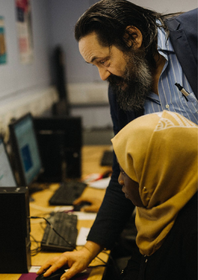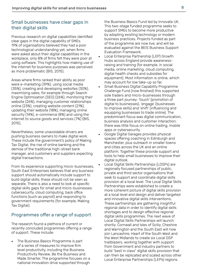## Small businesses have clear gaps in their digital skills

Previous research on digital capabilities identified clear gaps in the digital capability of SMEs. 19% of organisations believed they had a poor technological understanding yet, when firms were asked about their digital capabilities in the workplace, only 8% of firms felt they were poor at using software. This highlights how making use of the internet for business purposes was perceived as more problematic (BIS, 2015).

Areas where firms ranked their ability as poor were e-marketing (39%), using social media (35%), creating and developing websites (30%), maximising sales, for example through Search Engine Optimisation (SEO) (26%), monitoring their website (26%), managing customer relationships online (23%), creating website content (21%), updating their website (18%), managing online security (14%), e-commerce (8%) and using the internet to source goods and services (7%) (BIS, 2015).

Nevertheless, some unavoidable drivers are pushing business owners to make digital work. These include the government's policy of Making Tax Digital, the rise of online banking and the demise of the traditional high-street bank manager, and customers and suppliers expecting digital transactions.

From its experience supporting micro-businesses, South East Enterprises believes that any business support should automatically include support to build digital skills; these should not be seen as separate. There is also a need to look at specific digital skills gaps for small and micro-businesses: cybersecurity, cloud computing, back office functions (such as payroll) and responding to government requirements (for example, Making Tax Digital).

### Programmes offer a range of support

The research found a plethora of current or recently concluded programmes offering a range of support. These include:

• The Business Basics Programme is part of a series of measures to improve firm level productivity, including the Business Productivity Review, Be the Business and Made Smarter. The programme focuses on a national innovation drive supported through

the Business Basics Fund led by Innovate UK. This two-stage funded programme seeks to support SMEs to become more productive by adopting existing technology or modern business practices. Projects funded as part of the programme are now live, and will be evaluated against the BEIS Business Support Evaluation Framework.

- Local Enterprise Partnership (LEP) Growth Hubs across England provide awarenessraising and training (for example, in social media, online marketing, cloud computing, digital health checks and subsidies for equipment). Most information is online, which may account for low take-up so far.
- Small Business Digital Capability Programme Challenge Fund (now finished) this supported sole traders and micro-businesses through a three part journey: 'touch' (promotion of digital to businesses), 'engage' (businesses to improve skills) and 'shift' (influencing and equipping businesses to trade online). The predominant focus was digital communication, business analysis and customer interaction; there was little focus on online trading, mobile apps or cybersecurity.
- Google Digital Garages provides physical spaces offering coaching in Edinburgh and Manchester, plus outreach in smaller towns and cities across the UK and an online platform. Together these provide support and tools to help small businesses to improve their digital outlook.
- Local Digital Skills Partnerships (LDSPs) are regionally focused partnerships of public, private and third sector organisations that seek to support and coordinate digital skills provision at a local level. The Local Digital Skills Partnerships were established to create a more coherent picture of digital skills provision at a local level and design and deliver targeted and innovative digital skills interventions. These partnerships are gathering insightful regional data in order to identify digital skills shortages and to design effective regional digital skills programmes. The next wave of Local Digital Skills Partnerships will launch shortly. Cornwall and Isles of Scilly, Cheshire and Warrington and the South East will now join Lancashire, Heart of the South West and the West Midlands to create six Local DSP trailblazers, working together with support from Government and industry partners to build "best in class" digital skills provision that can then be replicated and scaled across other Local Enterprise Partnerships (LEPs) regions.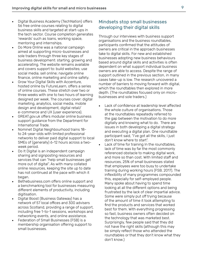- Digital Business Academy (TechNation) offers 56 free online courses relating to digital business skills and targeted at start-ups in the tech sector. Course completion generates 'rewards' such as loans, working space, mentoring and internships.
- Do More Online was a national campaign aimed at supporting micro-businesses and sole traders through three key stages of business development: starting, growing and accelerating. The website remains available and covers support to: build websites; use social media; sell online; navigate online finance, online marketing and online safety.
- Grow Your Digital Skills with Accenture, hosted online by FutureLearn, offers a series of online courses. These stretch over two or three weeks with one to two hours of learning designed per week. The courses cover: digital marketing, analytics, social media, mobile design and development, digital retail/ e-commerce and UX (user experience).
- GREAT.gov.uk offers modular online business support guidance from the Department for International Trade.
- Nominet Digital Neighbourhood trains 18 to 24-year-olds with limited professional networks to deliver paid digital support to local SMEs of (generally) 6-12 hours across a twoweek period.
- Do It Digital is an independent campaign sharing and signposting resources and services that can "help small businesses get more out of digital". As with many collated online resources, keeping the site up to date has not continued at the pace with which it began.
- Bethebusiness.com offers online support and a benchmarking tool for businesses measuring different elements of productivity, including digitisation.
- Digital Boost (Business Gateway) has a network of 57 local offices and 300 advisers across Scotland, providing a range of support, including free 1-to-1 sessions, workshops and networking events, and online assistance.
- Federation of Small Businesses (FSB) is a membership organisation offering support to small businesses.

# Mindsets stop small businesses developing their digital skills

Through our interviews with business support organisations and the business roundtables, participants confirmed that the attitudes of owners are critical in the approach businesses take to digital skills. For new and established businesses adopting new business behaviours based around digital skills and activities is often dependent on what support individual business owners are able to access. Despite the range of support outlined in the previous section, in many cases take-up is low. The research uncovered a number of barriers to moving forward with digital, which the roundtables then explored in more depth. (The roundtables focused only on microbusinesses and sole traders.)

- Lack of confidence at leadership level affected the whole culture of organisations. Those at the roundtables repeatedly referred to the gap between the motivation to do more digitally and knowing what to do. There are issues in both developing a digital strategy and executing a digital plan. One roundtable participant said, "I've got all the skills, I just don't know where to start".
	- Lack of time for training In the roundtables, lack of time was by far the most commonly referenced obstacle to making digital work, and more so than cost. With limited staff and resources, 25% of small businesses stated that employees were too busy to undertake training during working hours (FSB, 2017). The inflexibility of many programmes compounded this, especially for self-employed people. Many spoke about having to spend time looking at all the different options and being frustrated by the lack of clear impartial advice. Some were simply put off trying because of the amount of time it took attempting to find the products and services that worked best for them. With everything progressing so fast, business owners often decided on the technology that was marketed best. Surprisingly, few people said that they did not have the right skills (although this may be simply reflect those who attended the roundtables or that they don't know what they don't know.)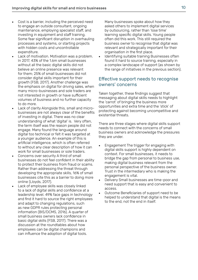- Cost is a barrier, including the perceived need to engage an outside consultant, ongoing maintenance, employing specialist staff, and investing in equipment and staff training. Some fear significant disruption in overhauling processes and systems, or starting projects with hidden costs and uncontrollable expenditure.
- Lack of motivation. Motivation was a problem. In 2017, 43% of the 1.6m small businesses without all the basic digital skills did not believe an online presence was relevant for them; 25% of small businesses did not consider digital skills important for their growth (FSB, 2017). Another challenge was the emphasis on digital for driving sales, when many micro-businesses and sole traders are not interested in growth or have sufficient volumes of business and no further capacity to do more.
- Lack of clarity Alongside this, small and microbusinesses are not always clear of the benefits of investing in digital. There was no clear understanding of what 'digital' is. Very often, the term itself was the reason people did not engage. Many found the language around digital too technical or felt it was targeted at a younger audience. An example of this is artificial intelligence, which is often referred to without any clear description of how it can work for small businesses or sole traders.
- Concerns over security A third of small businesses do not feel confident in their ability to protect their business from fraud or scams. Rather than addressing the threat through developing the appropriate skills, 16% of small businesses cite this as a barrier to doing more online (Lloyds, 2017).
- Lack of employee skills was closely linked to a lack of digital skills and confidence at a leadership level. 49% face gaps in technology and find it hard to source the right employees and adapt to changing regulations, such as new GDPR rules protecting personal information (BIS/DCMS, 2016). A quarter of small business owners lack confidence in basic digital skills (FSB, 2017). There was a discussion at the roundtables about how employees can be digital champions and can influence the adoption of digital tools.

Many businesses spoke about how they asked others to implement digital services by outsourcing, rather than 'lose time' learning specific digital skills. Young people often did this work. This still required the business owner to recognise that digital was relevant and strategically important for their organisation in the first place.

• Identifying suitable training Businesses often found it hard to source training, especially in a complex landscape of support (as shown by the range of initiatives in the previous section).

# Effective support needs to recognise owners' concerns

Taken together, these findings suggest that messaging about digital skills needs to highlight the 'carrot' of bringing the business more opportunities and extra time and the 'stick' of protecting against becoming uncompetitive and existential threats.

There are three stages where digital skills support needs to connect with the concerns of small business owners and acknowledge the pressures they are under.

- Engagement The trigger for engaging with digital skills support is highly dependent on context. For small businesses, it needs to bridge the gap from personal to business use, making digital business relevant from the personal perspective of the business owner. Trust in the intermediary who is making the engagement is vital.
- Delivery Small businesses are time-poor and need support that is easy and convenient to access.
- Outcome Beneficiaries of support need to be helped to understand that digital is the means to the end, not the end in itself.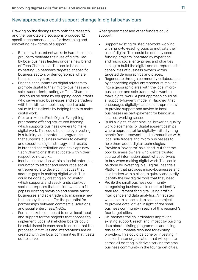# New approaches could support change in digital behaviours

Drawing on the findings from both the research and the roundtable discussions produced 12 specific recommendations for developing and innovating new forms of support.

- Build new trusted networks in hard-to-reach groups to motivate their use of digital, led by local business leaders under a new brand of 'Tech Champions'. This could be done by setting up networks targeted at specific business sectors or demographics where these do not yet exist.
- Engage accountants as digital advisers to promote digital to their micro-business and sole trader clients, acting as Tech Champions. This could be done by equipping accountants who serve micro businesses and sole traders with the skills and tools they need to add value to their clients by helping them to make digital work.
- Create a 'Mobile First, Digital Everything' programme offering structured learning which supports business owners to make digital work. This could be done by investing in a training and mentoring programme that supports business owners to develop and execute a digital strategy, and results in branded accreditation and develops new 'Tech Champions' that advocate within their respective networks.
- Incubate innovation within a 'social enterprise incubator' to attract and encourage social entrepreneurs to develop initiatives that address gaps in making digital work. This could be done by creating an incubator which supports and seed-funds start-up social enterprises that use innovation to fill gaps in existing provision and enable microbusinesses and sole traders to maximise new technology. It could offer the potential for partnerships between commercial solutions and social enterprises/NGOs.
- Form a stakeholder board to drive local input and support for the projects that chooses to implement. Local stakeholder boards could be established in each area to ensure that the proposed initiatives and interventions are cocreated with the local communities that it sets out to serve.

What government and other funders could support:

- Support existing trusted networks working with hard-to-reach groups to motivate their use of digital. This could be done by seedfunding projects, operated by hyperlocal and micro social enterprises and charities aiming to build the digital and entrepreneurial capabilities of business owners within targeted demographics and places.
- Regenerate through community collaboration by connecting digital entrepreneurs moving into a geographic area with the local microbusinesses and sole traders who want to make digital work. A pilot approach could be a 'support-for-rent' model in Hackney, that encourages digitally-capable entrepreneurs to provide support and advice to local businesses as part-payment for being in a local co-working space.
- Build a 'digital talent pipeline' brokering quality work placements (or digital apprenticeships where appropriate) for digitally-skilled young people from disadvantaged communities with local sole traders and micro businesses to help them adopt digital technologies.
- Provide a 'navigator' as a short-cut for timepoor business owners who want a trusted source of information about what software to buy when making digital work. This could be done by investing in a 'Digital Essentials Platform' that provides micro-businesses and sole traders with a place to quickly and easily identify the key digital tools that they need.
- Profile the small business community categorising businesses in order to identify their requirement for digital using artificial intelligence and data analytics. A first step would be to scope a data science project, to provide data-driven insight of the small business community in each of this research's four target cities.
- Co-ordinate the co-ordinators improving existing support, reach and impact by building data about existing programmes and using this as an umbrella resource for existing providers. This could be done by investing in a co-ordinator organisation that will operate across all existing initiatives serving the small business community in the four target cities.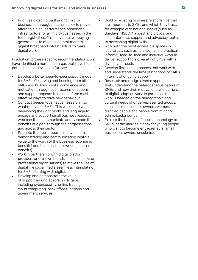• Prioritise gigabit broadband for microbusinesses through national policy to provide affordable high-performance broadband infrastructure for all micro-businesses in the four target cities. This may require lobbying government to meet its commitment to gigabit broadband infrastructure to make digital work.

In addition to these specific recommendations, we have identified a number of areas that have the potential to be developed further:

- Develop a better peer-to-peer support model for SMEs. Observing and learning from other SMEs and building digital confidence and motivation through peer recommendations and support appears to be one of the most effective ways to drive new behaviour.
- Conduct deeper (qualitative) research into what motivates SMEs. This would look at developing the right hooks and language to engage and support small business leaders, who can then communicate and cascade the benefits of digital through their organisations and across their sector.
- Promote the free support already on offer, demonstrating and communicating digital's value to the worth of the business (economic benefits) and the individual owner (personal benefits).
- Work in partnership with digital platform providers and known brands (such as banks or professional organisations) to make the use of digital like social media seem less intimidating for SMEs starting with digital.
- Develop and demonstrate the value of support around specific skills gaps including cybersecurity, online trading, cloud computing, back office functions and government services.
- Build on existing business relationships that are important to SMEs and which they trust, for example with national banks (such as Barclays, HSBC, NatWest and Lloyds) and accountants as support and advocacy routes to developing digital skills.
- Work with the most accessible spaces in local areas, such as libraries, to find practical, informal, face-to-face and inclusive ways to deliver support to a diversity of SMEs with a diversity of needs.
- Develop flexible approaches that work with, and understand, the time restrictions of SMEs in terms of ongoing support.
- Research and design diverse approaches that understand the heterogeneous nature of SMEs and how their motivations and barriers to digital adoption vary. In particular, more work is needed on the demographic and cultural needs of underrepresented groups, such as older business owners, women, disabled people and people from minority ethnic backgrounds.
- Explore the benefits of mobile technology to SMEs, particularly as a hook for young people who want to become entrepreneurs, small businesses owners or sole traders.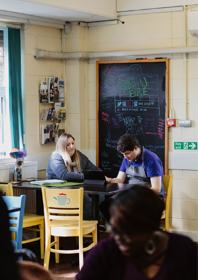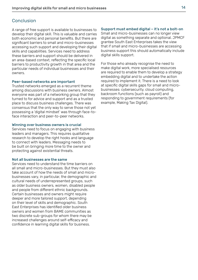# Conclusion

A range of free support is available to businesses to develop their digital skill. This is valuable and carries both economic and personal benefits. But there are significant barriers to small and micro-businesses accessing such support and developing their digital skills and capabilities. Services need to address these barriers and support should be delivered in an area-based context, reflecting the specific local barriers to productivity growth in that area and the particular needs of individual businesses and their owners.

#### Peer-based networks are important

Trusted networks emerged as a recurrent theme among discussions with business owners. Almost everyone was part of a networking group that they turned to for advice and support and as a trusted place to discuss business challenges. There was consensus that the only way to serve those not yet possessing a 'digital mindset' was through face-toface interaction and peer-to-peer networks.

#### Winning over business owners is crucial

Services need to focus on engaging with business leaders and managers. This requires qualitative research to develop the right hooks and language to connect with leaders. Messaging needs to be built on bringing more time to the owner and protecting against existential threats.

#### Not all businesses are the same

Services need to understand the time barriers on all small and micro-businesses. But they must also take account of how the needs of small and microbusinesses vary, in particular, the demographic and cultural needs of underrepresented groups, such as older business owners, women, disabled people and people from different ethnic backgrounds. Certain businesses and owners might require deeper and more tailored support, depending on their level of skills and demographic. South East Enterprises has identified older business owners and women from BAME communities as two discrete sub-groups for whom there may be increased challenges around self-efficacy and confidence in learning digital skills for business.

#### Support must embed digital – it's not a bolt-on

Small and micro-businesses can no longer view digital as something separate and optional. JPMCF grantee South East Enterprises takes the view that if small and micro-businesses are accessing business support this should automatically include digital skills support.

For those who already recognise the need to make digital work, more specialised resources are required to enable them to develop a strategy embedding digital and to undertake the action required to implement it. There is a need to look at specific digital skills gaps for small and microbusinesses: cybersecurity, cloud computing, backroom functions (such as payroll) and responding to government requirements (for example, Making Tax Digital).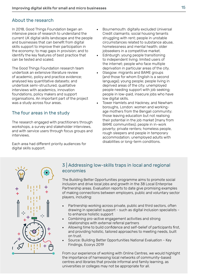# About the research

In 2018, Good Things Foundation began an intensive piece of research to understand the current UK digital skills landscape and the people and businesses that can benefit from digital skills support to improve their participation in the economy; to map gaps in provision; and to identify the key features of best practice that can be tested and scaled.

The Good Things Foundation research team undertook an extensive literature review of academic, policy and practice evidence; analysed key quantitative datasets; and undertook semi-structured, qualitative interviews with academics, innovation foundations, policy makers and support organisations. An important part of the project was a study across four areas.

# The four areas in the study

The research engaged with practitioners through workshops, a survey and stakeholder interviews, and with service users through focus groups and interviews.

Each area had different priority audiences for digital skills support.

- Bournemouth: digitally excluded Universal Credit claimants; social housing tenants struggling with rent; people in unstable circumstances related to substance abuse, homelessness and mental health; older jobseekers in a competitive market.
- Edinburgh: young people transitioning to independent living; limited users of the internet; people who face multiple deprivation in particular areas of the city.
- Glasgow: migrants and BAME groups (and those for whom English is a second language); young people; people living in deprived areas of the city; unemployed people needing support with job seeking; people in low-paid, insecure jobs who have low digital skills.
- Tower Hamlets and Hackney, and Newham boroughs, London: women and workingage mothers from the Bengali community; those leaving education but not realising their potential in the job market (many from BAME communities); people in in-work poverty; private renters; homeless people, rough sleepers and people in temporary accommodation; unemployed adults with disabilities or long-term conditions.



# 3 | Addressing low-skills traps in local and regional economies

The Building Better Opportunities programme aims to promote social inclusion and drive local jobs and growth in the 38 Local Enterprise Partnership areas. Evaluation reports to date give promising examples of making connections between employers, public and voluntary sector players, including:

- Partnership working across private, public and third sectors, often drawing in specialist support - such as digital inclusion specialists to enhance holistic support
- Combining pro-active engagement activities and strong relationships with external referral partners
- Allowing time to build confidence and self-belief of participants first, and providing holistic, tailored approaches to meeting needs, built on trust.
- Source: Building Better Opportunities National Evaluation Key Findings, Ecorys 2019

From our experience of working with Online Centres, we would highlight the importance of harnessing local networks of community-based centres and libraries that provide informal and family learning, as universities or colleges may not be appropriate for all.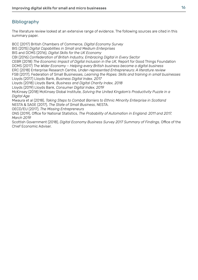# **Bibliography**

The literature review looked at an extensive range of evidence. The following sources are cited in this summary paper.

BCC (2017) British Chambers of Commerce, *Digital Economy Survey* BIS (2015) *Digital Capabilities in Small and Medium Enterprises*  BIS and DCMS (2016), *Digital Skills for the UK Economy* CBI (2016) *Confederation of British Industry, Embracing Digital in Every Sector* CEBR (2018) *The Economic Impact of Digital Inclusion in the UK,* Report for Good Things Foundation DCMS (2017) *The Wider Economy – Helping every British business become a digital business* ERC (2018) Enterprise Research Centre, *Under-represented Entrepreneurs: A literature review* FSB (2017), Federation of Small Businesses, *Learning the Ropes: Skills and training in small businesses* Lloyds (2017) Lloyds Bank, *Business Digital Index, 2017*  Lloyds (2018) Lloyds Bank, *Business and Digital Charity Index, 2018* Lloyds (2019) Lloyds Bank, *Consumer Digital Index, 2019* McKinsey (2018) McKinsey Global Institute, *Solving the United Kingdom's Productivity Puzzle in a Digital Age* Mwaura et al (2018), *Taking Steps to Combat Barriers to Ethnic Minority Enterprise in Scotland* NESTA & SAGE (2017), *The State of Small Business*, NESTA. OECD/EU (2017), *The Missing Entrepreneurs* ONS (2019), Office for National Statistics, *The Probability of Automation in England: 2011 and 2017, March 2019*

Scottish Government (2018), *Digital Economy Business Survey 2017 Summary of Findings,* Office of the Chief Economic Adviser.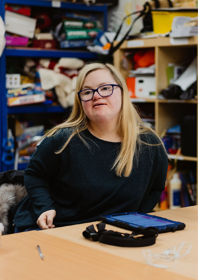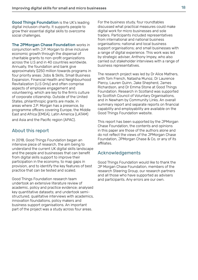Good Things Foundation is the UK's leading digital inclusion charity. It supports people to grow their essential digital skills to overcome social challenges.

The JPMorgan Chase Foundation works in conjunction with J.P. Morgan to drive inclusive economic growth through the dispersal of charitable grants to non-profit organizations across the U.S and in 40 countries worldwide. Annually, the foundation and bank give approximately \$250 million towards programs in four priority areas: Jobs & Skills, Small Business Expansion, Financial Health and Neighbourhood Revitalization (U.S Only) and often comprise aspects of employee engagement and volunteering, which are key to the firm's culture of corporate citizenship. Outside of the United States, philanthropic grants are made, in areas where J.P. Morgan has a presence, by programme officers covering Europe, the Middle East and Africa (EMEA), Latin America (LATAM)

and Asia and the Pacific region (APAC).

## About this report

In 2018, Good Things Foundation began an intensive piece of research, the aim being to understand the current UK digital skills landscape and the people and businesses that can benefit from digital skills support to improve their participation in the economy, to map gaps in provision, and to identify the key features of best practice that can be tested and scaled.

Good Things Foundation research team undertook an extensive literature review of academic, policy and practice evidence; analysed key quantitative datasets; and undertook semistructured, qualitative interviews with academics, innovation foundations, policy makers and business support organisations. An important part of the project was a study across four areas.

For the business study, four roundtables discussed what practical measures could make digital work for micro businesses and sole traders. Participants included representatives from international and national business organisations; national and local business support organisations; and small businesses with a range of digital experience. This work was led by strategic adviser, Anthony Impey, who also carried out stakeholder interviews with a range of business representatives.

The research project was led by Dr Alice Mathers, with Tom French, Natasha Munoz, Dr Laurence Piercy, Lauren Quinn, Jake Shepherd, James Richardson, and Dr Emma Stone at Good Things Foundation. Research in Scotland was supported by Scottish Council of Voluntary Organisations, and in Newham by Community Links. An overall summary report and separate reports on financial capability and employability are available on the Good Things Foundation website.

This report has been supported by the JPMorgan Chase Foundation, the contents and opinions in this paper are those of the authors alone and do not reflect the views of the JPMorgan Chase Foundation, JPMorgan Chase & Co, or any of its affiliates.

## Acknowledgements

Good Things Foundation would like to thank the JP Morgan Chase Foundation, members of the research Steering Group, our research partners and all those who have supported as advisers and participants. Any errors are our own.